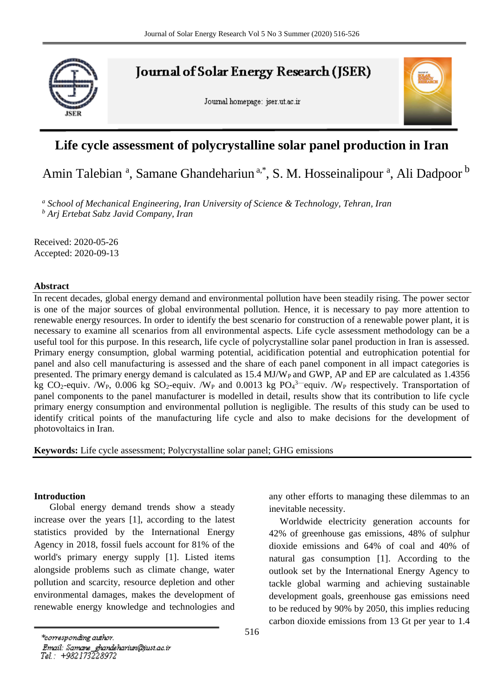

**Journal of Solar Energy Research (JSER)** 

Journal homepage: jser.ut.ac.ir



## **Life cycle assessment of polycrystalline solar panel production in Iran**

# Amin Talebian<sup>a</sup>, Samane Ghandehariun<sup>a,\*</sup>, S. M. Hosseinalipour<sup>a</sup>, Ali Dadpoor<sup>b</sup>

*<sup>a</sup> School of Mechanical Engineering, Iran University of Science & Technology, Tehran, Iran <sup>b</sup> Arj Ertebat Sabz Javid Company, Iran*

Received: 2020-05-26 Accepted: 2020-09-13

#### **Abstract**

In recent decades, global energy demand and environmental pollution have been steadily rising. The power sector is one of the major sources of global environmental pollution. Hence, it is necessary to pay more attention to renewable energy resources. In order to identify the best scenario for construction of a renewable power plant, it is necessary to examine all scenarios from all environmental aspects. Life cycle assessment methodology can be a useful tool for this purpose. In this research, life cycle of polycrystalline solar panel production in Iran is assessed. Primary energy consumption, global warming potential, acidification potential and eutrophication potential for panel and also cell manufacturing is assessed and the share of each panel component in all impact categories is presented. The primary energy demand is calculated as 15.4 MJ/W<sub>P</sub> and GWP, AP and EP are calculated as 1.4356 kg CO<sub>2</sub>-equiv. /W<sub>P</sub>, 0.006 kg SO<sub>2</sub>-equiv. /W<sub>P</sub> and 0.0013 kg PO<sub>4</sub><sup>3--</sup>equiv. /W<sub>P</sub> respectively. Transportation of panel components to the panel manufacturer is modelled in detail, results show that its contribution to life cycle primary energy consumption and environmental pollution is negligible. The results of this study can be used to identify critical points of the manufacturing life cycle and also to make decisions for the development of photovoltaics in Iran.

**Keywords:** Life cycle assessment; Polycrystalline solar panel; GHG emissions

#### **Introduction**

 Global energy demand trends show a steady increase over the years [\[1\]](#page-8-0), according to the latest statistics provided by the International Energy Agency in 2018, fossil fuels account for 81% of the world's primary energy supply [\[1\]](#page-8-0). Listed items alongside problems such as climate change, water pollution and scarcity, resource depletion and other environmental damages, makes the development of renewable energy knowledge and technologies and

any other efforts to managing these dilemmas to an inevitable necessity.

Worldwide electricity generation accounts for 42% of greenhouse gas emissions, 48% of sulphur dioxide emissions and 64% of coal and 40% of natural gas consumption [\[1\]](#page-8-0). According to the outlook set by the International Energy Agency to tackle global warming and achieving sustainable development goals, greenhouse gas emissions need to be reduced by 90% by 2050, this implies reducing carbon dioxide emissions from 13 Gt per year to 1.4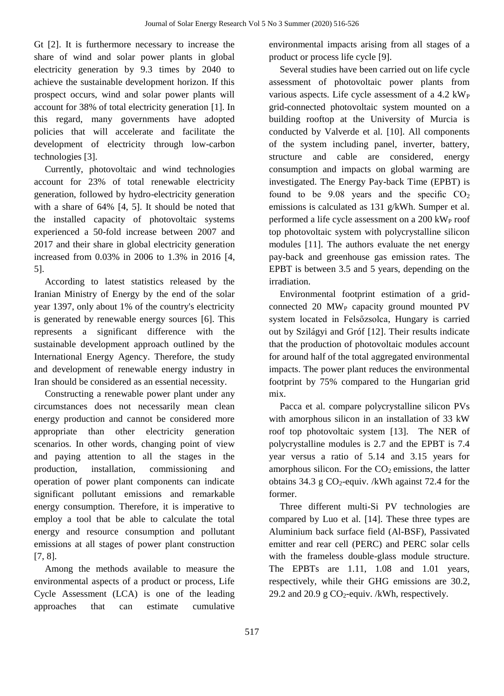Gt [\[2\]](#page-8-1). It is furthermore necessary to increase the share of wind and solar power plants in global electricity generation by 9.3 times by 2040 to achieve the sustainable development horizon. If this prospect occurs, wind and solar power plants will account for 38% of total electricity generation [\[1\]](#page-8-0). In this regard, many governments have adopted policies that will accelerate and facilitate the development of electricity through low-carbon technologies [\[3\]](#page-8-2).

Currently, photovoltaic and wind technologies account for 23% of total renewable electricity generation, followed by hydro-electricity generation with a share of 64% [\[4,](#page-8-3) [5\]](#page-8-4). It should be noted that the installed capacity of photovoltaic systems experienced a 50-fold increase between 2007 and 2017 and their share in global electricity generation increased from 0.03% in 2006 to 1.3% in 2016 [\[4,](#page-8-3) [5\]](#page-8-4).

According to latest statistics released by the Iranian Ministry of Energy by the end of the solar year 1397, only about 1% of the country's electricity is generated by renewable energy sources [\[6\]](#page-8-5). This represents a significant difference with the sustainable development approach outlined by the International Energy Agency. Therefore, the study and development of renewable energy industry in Iran should be considered as an essential necessity.

Constructing a renewable power plant under any circumstances does not necessarily mean clean energy production and cannot be considered more appropriate than other electricity generation scenarios. In other words, changing point of view and paying attention to all the stages in the production, installation, commissioning and operation of power plant components can indicate significant pollutant emissions and remarkable energy consumption. Therefore, it is imperative to employ a tool that be able to calculate the total energy and resource consumption and pollutant emissions at all stages of power plant construction [\[7,](#page-8-6) [8\]](#page-8-7).

Among the methods available to measure the environmental aspects of a product or process, Life Cycle Assessment (LCA) is one of the leading approaches that can estimate cumulative

environmental impacts arising from all stages of a product or process life cycle [\[9\]](#page-9-0).

Several studies have been carried out on life cycle assessment of photovoltaic power plants from various aspects. Life cycle assessment of a  $4.2 \text{ kW}_P$ grid-connected photovoltaic system mounted on a building rooftop at the University of Murcia is conducted by Valverde et al. [\[10\]](#page-9-1). All components of the system including panel, inverter, battery, structure and cable are considered, energy consumption and impacts on global warming are investigated. The Energy Pay-back Time (EPBT) is found to be  $9.08$  years and the specific  $CO<sub>2</sub>$ emissions is calculated as 131 g/kWh. Sumper et al. performed a life cycle assessment on a 200 kW<sub>P</sub> roof top photovoltaic system with polycrystalline silicon modules [\[11\]](#page-9-2). The authors evaluate the net energy pay-back and greenhouse gas emission rates. The EPBT is between 3.5 and 5 years, depending on the irradiation.

Environmental footprint estimation of a gridconnected  $20$  MW<sub>P</sub> capacity ground mounted PV system located in Felsőzsolca, Hungary is carried out by Szilágyi and Gróf [\[12\]](#page-9-3). Their results indicate that the production of photovoltaic modules account for around half of the total aggregated environmental impacts. The power plant reduces the environmental footprint by 75% compared to the Hungarian grid mix.

Pacca et al. compare polycrystalline silicon PVs with amorphous silicon in an installation of 33 kW roof top photovoltaic system [\[13\]](#page-9-4). The NER of polycrystalline modules is 2.7 and the EPBT is 7.4 year versus a ratio of 5.14 and 3.15 years for amorphous silicon. For the  $CO<sub>2</sub>$  emissions, the latter obtains 34.3 g  $CO_2$ -equiv. /kWh against 72.4 for the former.

Three different multi-Si PV technologies are compared by Luo et al. [\[14\]](#page-9-5). These three types are Aluminium back surface field (Al-BSF), Passivated emitter and rear cell (PERC) and PERC solar cells with the frameless double-glass module structure. The EPBTs are 1.11, 1.08 and 1.01 years, respectively, while their GHG emissions are 30.2, 29.2 and 20.9 g  $CO_2$ -equiv. /kWh, respectively.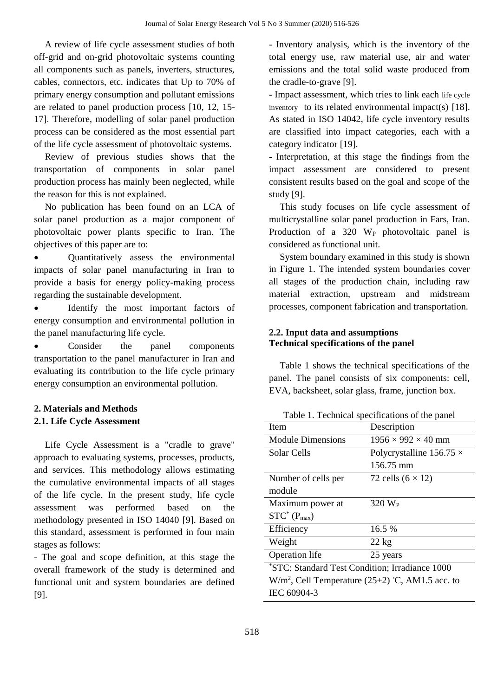A review of life cycle assessment studies of both off-grid and on-grid photovoltaic systems counting all components such as panels, inverters, structures, cables, connectors, etc. indicates that Up to 70% of primary energy consumption and pollutant emissions are related to panel production process [\[10,](#page-9-1) [12,](#page-9-3) [15-](#page-9-6) [17\]](#page-9-6). Therefore, modelling of solar panel production process can be considered as the most essential part of the life cycle assessment of photovoltaic systems.

Review of previous studies shows that the transportation of components in solar panel production process has mainly been neglected, while the reason for this is not explained.

No publication has been found on an LCA of solar panel production as a major component of photovoltaic power plants specific to Iran. The objectives of this paper are to:

 Quantitatively assess the environmental impacts of solar panel manufacturing in Iran to provide a basis for energy policy-making process regarding the sustainable development.

 Identify the most important factors of energy consumption and environmental pollution in the panel manufacturing life cycle.

 Consider the panel components transportation to the panel manufacturer in Iran and evaluating its contribution to the life cycle primary energy consumption an environmental pollution.

# **2. Materials and Methods**

## **2.1. Life Cycle Assessment**

Life Cycle Assessment is a "cradle to grave" approach to evaluating systems, processes, products, and services. This methodology allows estimating the cumulative environmental impacts of all stages of the life cycle. In the present study, life cycle assessment was performed based on the methodology presented in ISO 14040 [\[9\]](#page-9-0). Based on this standard, assessment is performed in four main stages as follows:

- The goal and scope definition, at this stage the overall framework of the study is determined and functional unit and system boundaries are defined [\[9\]](#page-9-0).

- Inventory analysis, which is the inventory of the total energy use, raw material use, air and water emissions and the total solid waste produced from the cradle-to-grave [\[9\]](#page-9-0).

- Impact assessment, which tries to link each life cycle inventory to its related environmental impact(s) [\[18\]](#page-9-7). As stated in ISO 14042, life cycle inventory results are classified into impact categories, each with a category indicator [\[19\]](#page-9-8).

- Interpretation, at this stage the findings from the impact assessment are considered to present consistent results based on the goal and scope of the study [\[9\]](#page-9-0).

This study focuses on life cycle assessment of multicrystalline solar panel production in Fars, Iran. Production of a  $320$  W<sub>P</sub> photovoltaic panel is considered as functional unit.

System boundary examined in this study is shown in Figure 1. The intended system boundaries cover all stages of the production chain, including raw material extraction, upstream and midstream processes, component fabrication and transportation.

### **2.2. Input data and assumptions Technical specifications of the panel**

Table 1 shows the technical specifications of the panel. The panel consists of six components: cell, EVA, backsheet, solar glass, frame, junction box.

Table 1. Technical specifications of the panel

| Item                                                     | Description                     |  |
|----------------------------------------------------------|---------------------------------|--|
| <b>Module Dimensions</b>                                 | $1956 \times 992 \times 40$ mm  |  |
| Solar Cells                                              | Polycrystalline $156.75 \times$ |  |
|                                                          | 156.75 mm                       |  |
| Number of cells per                                      | 72 cells $(6 \times 12)$        |  |
| module                                                   |                                 |  |
| Maximum power at                                         | $320 \text{ W}_P$               |  |
| $STC^*(P_{max})$                                         |                                 |  |
| Efficiency                                               | 16.5%                           |  |
| Weight                                                   | $22 \text{ kg}$                 |  |
| Operation life                                           | 25 years                        |  |
| *STC: Standard Test Condition; Irradiance 1000           |                                 |  |
| $W/m2$ , Cell Temperature (25 $\pm$ 2) °C, AM1.5 acc. to |                                 |  |
| IEC 60904-3                                              |                                 |  |
|                                                          |                                 |  |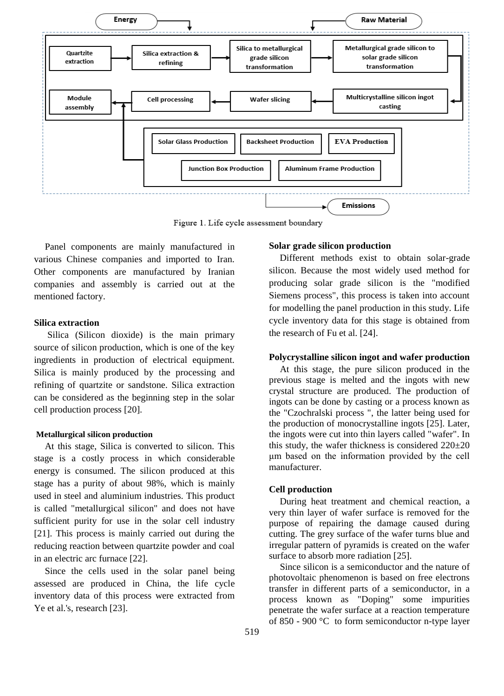

Figure 1. Life cycle assessment boundary

Panel components are mainly manufactured in various Chinese companies and imported to Iran. Other components are manufactured by Iranian companies and assembly is carried out at the mentioned factory.

#### **Silica extraction**

Silica (Silicon dioxide) is the main primary source of silicon production, which is one of the key ingredients in production of electrical equipment. Silica is mainly produced by the processing and refining of quartzite or sandstone. Silica extraction can be considered as the beginning step in the solar cell production process [\[20\]](#page-9-9).

#### **Metallurgical silicon production**

At this stage, Silica is converted to silicon. This stage is a costly process in which considerable energy is consumed. The silicon produced at this stage has a purity of about 98%, which is mainly used in steel and aluminium industries. This product is called "metallurgical silicon" and does not have sufficient purity for use in the solar cell industry [21]. This process is mainly carried out during the reducing reaction between quartzite powder and coal in an electric arc furnace [22].

Since the cells used in the solar panel being assessed are produced in China, the life cycle inventory data of this process were extracted from Ye et al.'s, research [23].

#### **Solar grade silicon production**

Different methods exist to obtain solar-grade silicon. Because the most widely used method for producing solar grade silicon is the "modified Siemens process", this process is taken into account for modelling the panel production in this study. Life cycle inventory data for this stage is obtained from the research of Fu et al. [24].

#### **Polycrystalline silicon ingot and wafer production**

At this stage, the pure silicon produced in the previous stage is melted and the ingots with new crystal structure are produced. The production of ingots can be done by casting or a process known as the "Czochralski process ", the latter being used for the production of monocrystalline ingots [25]. Later, the ingots were cut into thin layers called "wafer". In this study, the wafer thickness is considered 220±20 μm based on the information provided by the cell manufacturer.

#### **Cell production**

During heat treatment and chemical reaction, a very thin layer of wafer surface is removed for the purpose of repairing the damage caused during cutting. The grey surface of the wafer turns blue and irregular pattern of pyramids is created on the wafer surface to absorb more radiation [25].

Since silicon is a semiconductor and the nature of photovoltaic phenomenon is based on free electrons transfer in different parts of a semiconductor, in a process known as "Doping" some impurities penetrate the wafer surface at a reaction temperature of 850 - 900 °C to form semiconductor n-type layer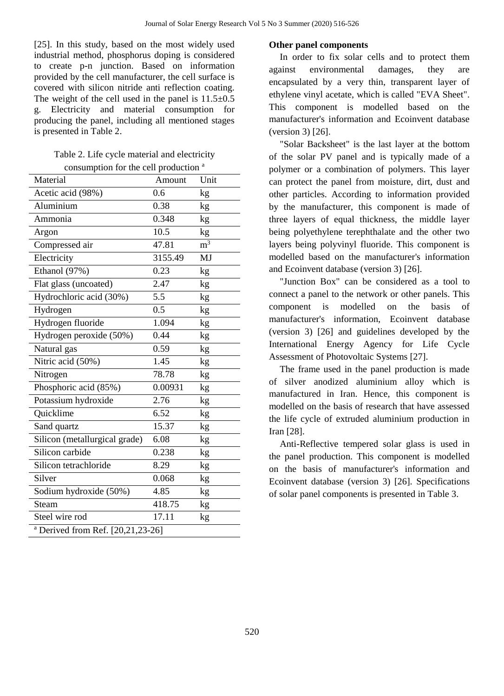[25]. In this study, based on the most widely used industrial method, phosphorus doping is considered to create p-n junction. Based on information provided by the cell manufacturer, the cell surface is covered with silicon nitride anti reflection coating. The weight of the cell used in the panel is  $11.5\pm0.5$ g. Electricity and material consumption for producing the panel, including all mentioned stages is presented in Table 2.

| Table 2. Life cycle material and electricity     |
|--------------------------------------------------|
| consumption for the cell production <sup>a</sup> |

| Material                                     | Amount  | Unit             |
|----------------------------------------------|---------|------------------|
| Acetic acid (98%)                            | 0.6     | kg               |
| Aluminium                                    | 0.38    | kg               |
| Ammonia                                      | 0.348   | kg               |
| Argon                                        | 10.5    | kg               |
| Compressed air                               | 47.81   | $\overline{m}^3$ |
| Electricity                                  | 3155.49 | MJ               |
| Ethanol (97%)                                | 0.23    | kg               |
| Flat glass (uncoated)                        | 2.47    | kg               |
| Hydrochloric acid (30%)                      | 5.5     | kg               |
| Hydrogen                                     | 0.5     | kg               |
| Hydrogen fluoride                            | 1.094   | kg               |
| Hydrogen peroxide (50%)                      | 0.44    | kg               |
| Natural gas                                  | 0.59    | kg               |
| Nitric acid (50%)                            | 1.45    | kg               |
| Nitrogen                                     | 78.78   | kg               |
| Phosphoric acid (85%)                        | 0.00931 | kg               |
| Potassium hydroxide                          | 2.76    | kg               |
| Quicklime                                    | 6.52    | kg               |
| Sand quartz                                  | 15.37   | kg               |
| Silicon (metallurgical grade)                | 6.08    | kg               |
| Silicon carbide                              | 0.238   | kg               |
| Silicon tetrachloride                        | 8.29    | $\rm kg$         |
| Silver                                       | 0.068   | kg               |
| Sodium hydroxide (50%)                       | 4.85    | kg               |
| Steam                                        | 418.75  | kg               |
| Steel wire rod                               | 17.11   | kg               |
| <sup>a</sup> Derived from Ref. [20,21,23-26] |         |                  |

#### **Other panel components**

In order to fix solar cells and to protect them against environmental damages, they are encapsulated by a very thin, transparent layer of ethylene vinyl acetate, which is called "EVA Sheet". This component is modelled based on the manufacturer's information and Ecoinvent database (version 3) [26].

"Solar Backsheet" is the last layer at the bottom of the solar PV panel and is typically made of a polymer or a combination of polymers. This layer can protect the panel from moisture, dirt, dust and other particles. According to information provided by the manufacturer, this component is made of three layers of equal thickness, the middle layer being polyethylene terephthalate and the other two layers being polyvinyl fluoride. This component is modelled based on the manufacturer's information and Ecoinvent database (version 3) [26].

"Junction Box" can be considered as a tool to connect a panel to the network or other panels. This component is modelled on the basis of manufacturer's information, Ecoinvent database (version 3) [26] and guidelines developed by the International Energy Agency for Life Cycle Assessment of Photovoltaic Systems [27].

The frame used in the panel production is made of silver anodized aluminium alloy which is manufactured in Iran. Hence, this component is modelled on the basis of research that have assessed the life cycle of extruded aluminium production in Iran [28].

Anti-Reflective tempered solar glass is used in the panel production. This component is modelled on the basis of manufacturer's information and Ecoinvent database (version 3) [26]. Specifications of solar panel components is presented in Table 3.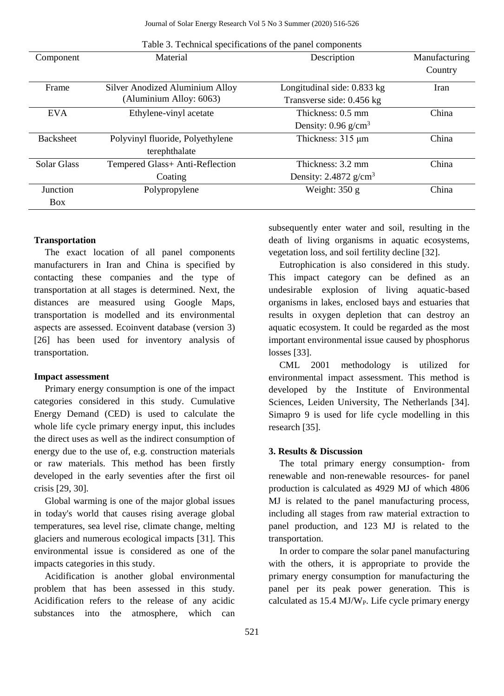| Component        | Material                                                   | Description                                              | Manufacturing<br>Country |
|------------------|------------------------------------------------------------|----------------------------------------------------------|--------------------------|
| Frame            | Silver Anodized Aluminium Alloy<br>(Aluminium Alloy: 6063) | Longitudinal side: 0.833 kg<br>Transverse side: 0.456 kg | Iran                     |
| <b>EVA</b>       | Ethylene-vinyl acetate                                     | Thickness: 0.5 mm                                        | China                    |
|                  |                                                            | Density: $0.96$ g/cm <sup>3</sup>                        |                          |
| <b>Backsheet</b> | Polyvinyl fluoride, Polyethylene                           | Thickness: $315 \mu m$                                   | China                    |
|                  | terephthalate                                              |                                                          |                          |
| Solar Glass      | Tempered Glass+ Anti-Reflection                            | Thickness: 3.2 mm                                        | China                    |
|                  | Coating                                                    | Density: $2.4872$ g/cm <sup>3</sup>                      |                          |
| Junction         | Polypropylene                                              | Weight: $350 g$                                          | China                    |
| <b>Box</b>       |                                                            |                                                          |                          |

Table 3. Technical specifications of the panel components

#### **Transportation**

The exact location of all panel components manufacturers in Iran and China is specified by contacting these companies and the type of transportation at all stages is determined. Next, the distances are measured using Google Maps, transportation is modelled and its environmental aspects are assessed. Ecoinvent database (version 3) [26] has been used for inventory analysis of transportation.

#### **Impact assessment**

Primary energy consumption is one of the impact categories considered in this study. Cumulative Energy Demand (CED) is used to calculate the whole life cycle primary energy input, this includes the direct uses as well as the indirect consumption of energy due to the use of, e.g. construction materials or raw materials. This method has been firstly developed in the early seventies after the first oil crisis [29, 30].

Global warming is one of the major global issues in today's world that causes rising average global temperatures, sea level rise, climate change, melting glaciers and numerous ecological impacts [31]. This environmental issue is considered as one of the impacts categories in this study.

Acidification is another global environmental problem that has been assessed in this study. Acidification refers to the release of any acidic substances into the atmosphere, which can

subsequently enter water and soil, resulting in the death of living organisms in aquatic ecosystems, vegetation loss, and soil fertility decline [32].

Eutrophication is also considered in this study. This impact category can be defined as an undesirable explosion of living aquatic-based organisms in lakes, enclosed bays and estuaries that results in oxygen depletion that can destroy an aquatic ecosystem. It could be regarded as the most important environmental issue caused by phosphorus losses [33].

CML 2001 methodology is utilized for environmental impact assessment. This method is developed by the Institute of Environmental Sciences, Leiden University, The Netherlands [34]. Simapro 9 is used for life cycle modelling in this research [35].

#### **3. Results & Discussion**

The total primary energy consumption- from renewable and non-renewable resources- for panel production is calculated as 4929 MJ of which 4806 MJ is related to the panel manufacturing process, including all stages from raw material extraction to panel production, and 123 MJ is related to the transportation.

In order to compare the solar panel manufacturing with the others, it is appropriate to provide the primary energy consumption for manufacturing the panel per its peak power generation. This is calculated as  $15.4$  MJ/W<sub>P</sub>. Life cycle primary energy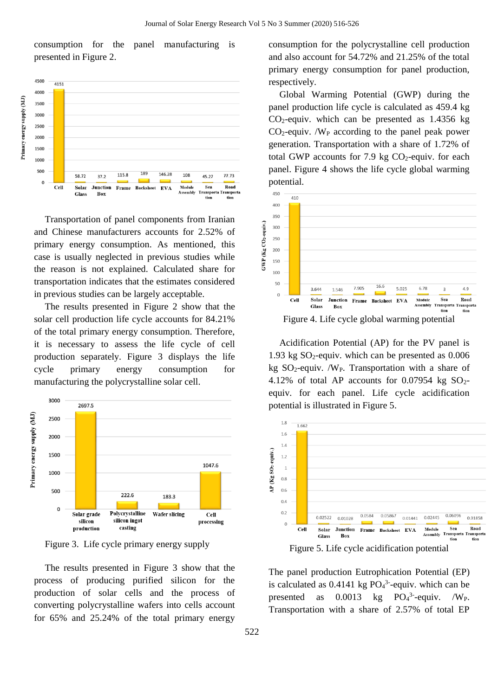consumption for the panel manufacturing is presented in Figure 2.



Transportation of panel components from Iranian and Chinese manufacturers accounts for 2.52% of primary energy consumption. As mentioned, this case is usually neglected in previous studies while the reason is not explained. Calculated share for transportation indicates that the estimates considered in previous studies can be largely acceptable.

The results presented in Figure 2 show that the solar cell production life cycle accounts for 84.21% of the total primary energy consumption. Therefore, it is necessary to assess the life cycle of cell production separately. Figure 3 displays the life cycle primary energy consumption for manufacturing the polycrystalline solar cell.



Figure 3. Life cycle primary energy supply

The results presented in Figure 3 show that the process of producing purified silicon for the production of solar cells and the process of converting polycrystalline wafers into cells account for 65% and 25.24% of the total primary energy

consumption for the polycrystalline cell production and also account for 54.72% and 21.25% of the total primary energy consumption for panel production, respectively.

Global Warming Potential (GWP) during the panel production life cycle is calculated as 459.4 kg  $CO<sub>2</sub>$ -equiv. which can be presented as 1.4356 kg  $CO<sub>2</sub>$ -equiv. /W<sub>P</sub> according to the panel peak power generation. Transportation with a share of 1.72% of total GWP accounts for 7.9 kg  $CO<sub>2</sub>$ -equiv. for each panel. Figure 4 shows the life cycle global warming potential.



Acidification Potential (AP) for the PV panel is 1.93 kg  $SO_2$ -equiv. which can be presented as 0.006 kg  $SO_2$ -equiv. /W<sub>P</sub>. Transportation with a share of 4.12% of total AP accounts for  $0.07954$  kg SO<sub>2</sub>equiv. for each panel. Life cycle acidification potential is illustrated in Figure 5.



Figure 5. Life cycle acidification potential

The panel production Eutrophication Potential (EP) is calculated as  $0.4141$  kg  $PO<sub>4</sub><sup>3</sup>$ -equiv. which can be presented as  $0.0013$  kg  $PO<sub>4</sub><sup>3</sup>$ -equiv. /W<sub>P</sub>. Transportation with a share of 2.57% of total EP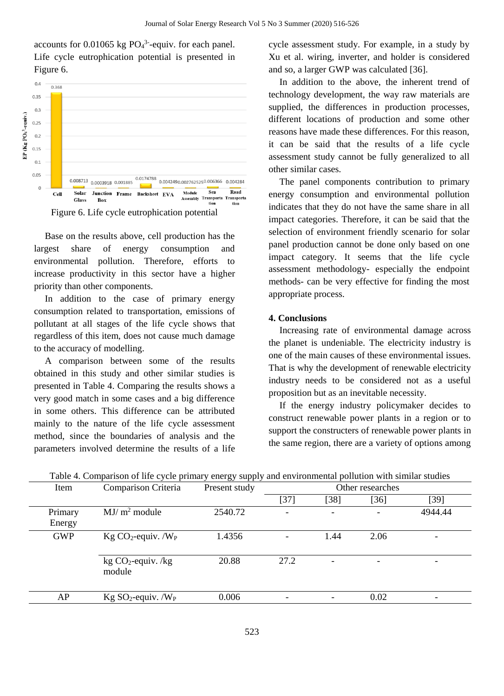accounts for  $0.01065$  kg  $PO<sub>4</sub><sup>3</sup>$ -equiv. for each panel. Life cycle eutrophication potential is presented in Figure 6.



Base on the results above, cell production has the largest share of energy consumption and environmental pollution. Therefore, efforts to increase productivity in this sector have a higher priority than other components.

In addition to the case of primary energy consumption related to transportation, emissions of pollutant at all stages of the life cycle shows that regardless of this item, does not cause much damage to the accuracy of modelling.

A comparison between some of the results obtained in this study and other similar studies is presented in Table 4. Comparing the results shows a very good match in some cases and a big difference in some others. This difference can be attributed mainly to the nature of the life cycle assessment method, since the boundaries of analysis and the parameters involved determine the results of a life

cycle assessment study. For example, in a study by Xu et al. wiring, inverter, and holder is considered and so, a larger GWP was calculated [36].

In addition to the above, the inherent trend of technology development, the way raw materials are supplied, the differences in production processes, different locations of production and some other reasons have made these differences. For this reason, it can be said that the results of a life cycle assessment study cannot be fully generalized to all other similar cases.

The panel components contribution to primary energy consumption and environmental pollution indicates that they do not have the same share in all impact categories. Therefore, it can be said that the selection of environment friendly scenario for solar panel production cannot be done only based on one impact category. It seems that the life cycle assessment methodology- especially the endpoint methods- can be very effective for finding the most appropriate process.

#### **4. Conclusions**

Increasing rate of environmental damage across the planet is undeniable. The electricity industry is one of the main causes of these environmental issues. That is why the development of renewable electricity industry needs to be considered not as a useful proposition but as an inevitable necessity.

If the energy industry policymaker decides to construct renewable power plants in a region or to support the constructers of renewable power plants in the same region, there are a variety of options among

| Item              | Comparison Criteria            | Present study | Other researches |        |                          |         |
|-------------------|--------------------------------|---------------|------------------|--------|--------------------------|---------|
|                   |                                |               | $[37]$           | $[38]$ | [36]                     | $[39]$  |
| Primary<br>Energy | $MJ/m2$ module                 | 2540.72       | ۰                | -      |                          | 4944.44 |
| <b>GWP</b>        | $Kg CO2$ -equiv. / $W_P$       | 1.4356        |                  | 1.44   | 2.06                     |         |
|                   | $kg CO2$ -equiv. /kg<br>module | 20.88         | 27.2             | ۰      | $\overline{\phantom{0}}$ |         |
| AP                | $Kg SO2$ -equiv. / $WP$        | 0.006         |                  |        | 0.02                     |         |

| Table 4. Comparison of life cycle primary energy supply and environmental pollution with similar studies |  |
|----------------------------------------------------------------------------------------------------------|--|
|                                                                                                          |  |
|                                                                                                          |  |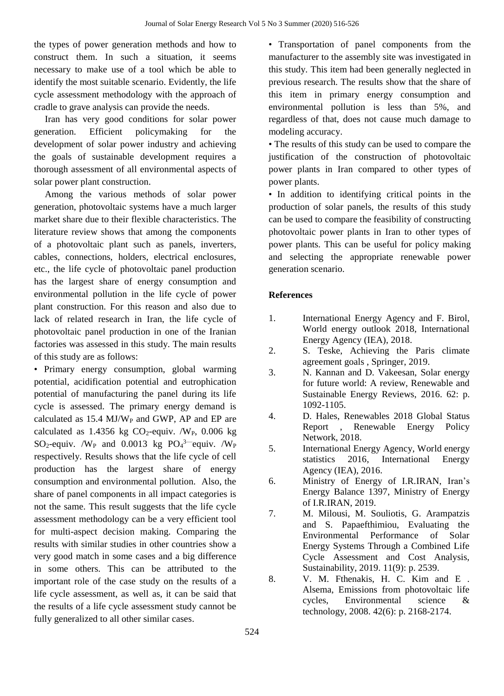the types of power generation methods and how to construct them. In such a situation, it seems necessary to make use of a tool which be able to identify the most suitable scenario. Evidently, the life cycle assessment methodology with the approach of cradle to grave analysis can provide the needs.

Iran has very good conditions for solar power generation. Efficient policymaking for the development of solar power industry and achieving the goals of sustainable development requires a thorough assessment of all environmental aspects of solar power plant construction.

Among the various methods of solar power generation, photovoltaic systems have a much larger market share due to their flexible characteristics. The literature review shows that among the components of a photovoltaic plant such as panels, inverters, cables, connections, holders, electrical enclosures, etc., the life cycle of photovoltaic panel production has the largest share of energy consumption and environmental pollution in the life cycle of power plant construction. For this reason and also due to lack of related research in Iran, the life cycle of photovoltaic panel production in one of the Iranian factories was assessed in this study. The main results of this study are as follows:

• Primary energy consumption, global warming potential, acidification potential and eutrophication potential of manufacturing the panel during its life cycle is assessed. The primary energy demand is calculated as  $15.4$  MJ/W<sub>P</sub> and GWP, AP and EP are calculated as  $1.4356$  kg CO<sub>2</sub>-equiv. /W<sub>P</sub>, 0.006 kg SO<sub>2</sub>-equiv. /W<sub>P</sub> and 0.0013 kg  $PO_4^{3}$ -equiv. /W<sub>P</sub> respectively. Results shows that the life cycle of cell production has the largest share of energy consumption and environmental pollution. Also, the share of panel components in all impact categories is not the same. This result suggests that the life cycle assessment methodology can be a very efficient tool for multi-aspect decision making. Comparing the results with similar studies in other countries show a very good match in some cases and a big difference in some others. This can be attributed to the important role of the case study on the results of a life cycle assessment, as well as, it can be said that the results of a life cycle assessment study cannot be fully generalized to all other similar cases.

• Transportation of panel components from the manufacturer to the assembly site was investigated in this study. This item had been generally neglected in previous research. The results show that the share of this item in primary energy consumption and environmental pollution is less than 5%, and regardless of that, does not cause much damage to modeling accuracy.

• The results of this study can be used to compare the justification of the construction of photovoltaic power plants in Iran compared to other types of power plants.

• In addition to identifying critical points in the production of solar panels, the results of this study can be used to compare the feasibility of constructing photovoltaic power plants in Iran to other types of power plants. This can be useful for policy making and selecting the appropriate renewable power generation scenario.

#### **References**

- <span id="page-8-0"></span>1. International Energy Agency and F. Birol, World energy outlook 2018, International Energy Agency (IEA), 2018.
- <span id="page-8-1"></span>2. S. Teske, Achieving the Paris climate agreement goals , Springer, 2019.
- <span id="page-8-2"></span>3. N. Kannan and D. Vakeesan, Solar energy for future world: A review, Renewable and Sustainable Energy Reviews, 2016. 62: p. 1092-1105.
- <span id="page-8-3"></span>4. D. Hales, Renewables 2018 Global Status Report , Renewable Energy Policy Network, 2018.
- <span id="page-8-4"></span>5. International Energy Agency, World energy statistics 2016, International Energy Agency (IEA), 2016.
- <span id="page-8-5"></span>6. Ministry of Energy of I.R.IRAN, Iran's Energy Balance 1397, Ministry of Energy of I.R.IRAN, 2019.
- <span id="page-8-6"></span>7. M. Milousi, M. Souliotis, G. Arampatzis and S. Papaefthimiou, Evaluating the Environmental Performance of Solar Energy Systems Through a Combined Life Cycle Assessment and Cost Analysis, Sustainability, 2019. 11(9): p. 2539.
- <span id="page-8-7"></span>8. V. M. Fthenakis, H. C. Kim and E . Alsema, Emissions from photovoltaic life cycles, Environmental science & technology, 2008. 42(6): p. 2168-2174.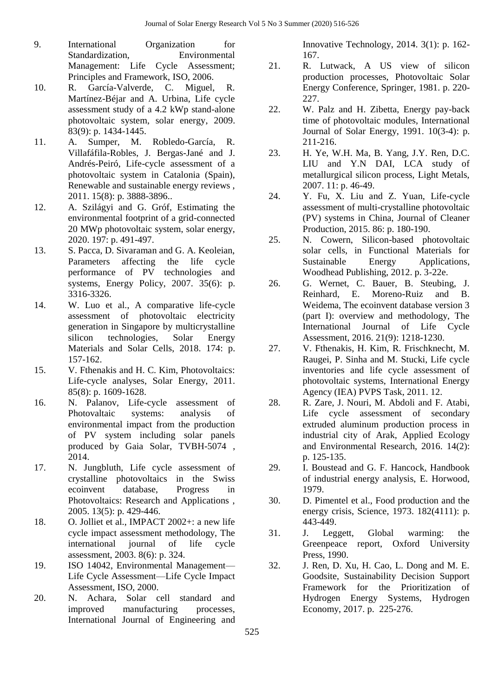- <span id="page-9-0"></span>9. International Organization for Standardization, Environmental Management: Life Cycle Assessment; Principles and Framework, ISO, 2006.
- <span id="page-9-1"></span>10. R. García-Valverde, C. Miguel, R. Martínez-Béjar and A. Urbina, Life cycle assessment study of a 4.2 kWp stand-alone photovoltaic system, solar energy, 2009. 83(9): p. 1434-1445.
- <span id="page-9-2"></span>11. A. Sumper, M. Robledo-García, R. Villafáfila-Robles, J. Bergas-Jané and J. Andrés-Peiró, Life-cycle assessment of a photovoltaic system in Catalonia (Spain), Renewable and sustainable energy reviews , 2011. 15(8): p. 3888-3896..
- <span id="page-9-3"></span>12. A. Szilágyi and G. Gróf, Estimating the environmental footprint of a grid-connected 20 MWp photovoltaic system, solar energy, 2020. 197: p. 491-497.
- <span id="page-9-4"></span>13. S. Pacca, D. Sivaraman and G. A. Keoleian, Parameters affecting the life cycle performance of PV technologies and systems, Energy Policy, 2007. 35(6): p. 3316-3326.
- <span id="page-9-5"></span>14. W. Luo et al., A comparative life-cycle assessment of photovoltaic electricity generation in Singapore by multicrystalline silicon technologies, Solar Energy Materials and Solar Cells, 2018. 174: p. 157-162.
- <span id="page-9-6"></span>15. V. Fthenakis and H. C. Kim, Photovoltaics: Life-cycle analyses, Solar Energy, 2011. 85(8): p. 1609-1628.
- 16. N. Palanov, Life-cycle assessment of Photovaltaic systems: analysis of environmental impact from the production of PV system including solar panels produced by Gaia Solar, TVBH-5074 , 2014.
- 17. N. Jungbluth, Life cycle assessment of crystalline photovoltaics in the Swiss ecoinvent database, Progress in Photovoltaics: Research and Applications , 2005. 13(5): p. 429-446.
- <span id="page-9-7"></span>18. O. Jolliet et al., IMPACT 2002+: a new life cycle impact assessment methodology, The international journal of life cycle assessment, 2003. 8(6): p. 324.
- <span id="page-9-9"></span><span id="page-9-8"></span>19. ISO 14042, Environmental Management— Life Cycle Assessment—Life Cycle Impact Assessment, ISO, 2000.
- 20. N. Achara, Solar cell standard and improved manufacturing processes, International Journal of Engineering and

Innovative Technology, 2014. 3(1): p. 162- 167.

- 21. R. Lutwack, A US view of silicon production processes, Photovoltaic Solar Energy Conference, Springer, 1981. p. 220- 227.
- 22. W. Palz and H. Zibetta, Energy pay-back time of photovoltaic modules, International Journal of Solar Energy, 1991. 10(3-4): p. 211-216.
- 23. H. Ye, W.H. Ma, B. Yang, J.Y. Ren, D.C. LIU and Y.N DAI, LCA study of metallurgical silicon process, Light Metals, 2007. 11: p. 46-49.
- 24. Y. Fu, X. Liu and Z. Yuan, Life-cycle assessment of multi-crystalline photovoltaic (PV) systems in China, Journal of Cleaner Production, 2015. 86: p. 180-190.
- 25. N. Cowern, Silicon-based photovoltaic solar cells, in Functional Materials for Sustainable Energy Applications, Woodhead Publishing, 2012. p. 3-22e.
- 26. G. Wernet, C. Bauer, B. Steubing, J. Reinhard, E. Moreno-Ruiz and B. Weidema, The ecoinvent database version 3 (part I): overview and methodology, The International Journal of Life Cycle Assessment, 2016. 21(9): 1218-1230.
- 27. V. Fthenakis, H. Kim, R. Frischknecht, M. Raugei, P. Sinha and M. Stucki, Life cycle inventories and life cycle assessment of photovoltaic systems, International Energy Agency (IEA) PVPS Task, 2011. 12.
- 28. R. Zare, J. Nouri, M. Abdoli and F. Atabi, Life cycle assessment of secondary extruded aluminum production process in industrial city of Arak, Applied Ecology and Environmental Research, 2016. 14(2): p. 125-135.
- 29. I. Boustead and G. F. Hancock, Handbook of industrial energy analysis, E. Horwood, 1979.
- 30. D. Pimentel et al., Food production and the energy crisis, Science, 1973. 182(4111): p. 443-449.
- 31. J. Leggett, Global warming: the Greenpeace report, Oxford University Press, 1990.
- 32. J. Ren, D. Xu, H. Cao, L. Dong and M. E. Goodsite, Sustainability Decision Support Framework for the Prioritization of Hydrogen Energy Systems, Hydrogen Economy, 2017. p. 225-276.